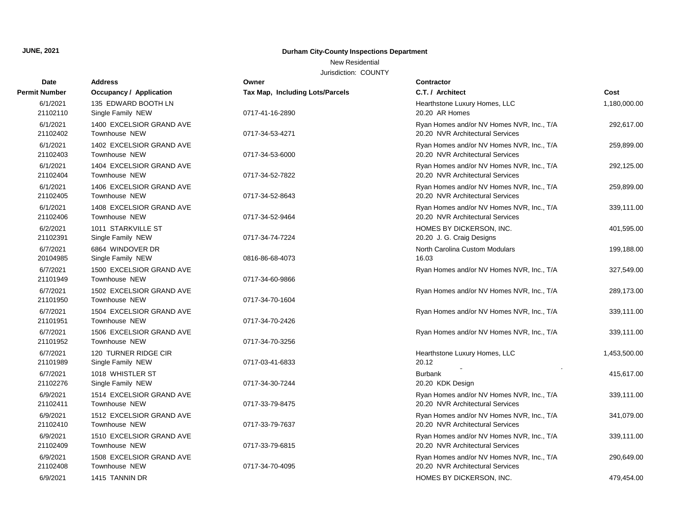## **JUNE, 2021 Durham City-County Inspections Department**

## New Residential

Jurisdiction: COUNTY

| <b>Date</b>          | <b>Address</b>                                   | Owner                           | <b>Contractor</b>                                                             |              |
|----------------------|--------------------------------------------------|---------------------------------|-------------------------------------------------------------------------------|--------------|
| <b>Permit Number</b> | <b>Occupancy / Application</b>                   | Tax Map, Including Lots/Parcels | C.T. / Architect                                                              | Cost         |
| 6/1/2021<br>21102110 | 135 EDWARD BOOTH LN<br>Single Family NEW         | 0717-41-16-2890                 | Hearthstone Luxury Homes, LLC<br>20.20 AR Homes                               | 1,180,000.00 |
| 6/1/2021<br>21102402 | 1400 EXCELSIOR GRAND AVE<br>Townhouse NEW        | 0717-34-53-4271                 | Ryan Homes and/or NV Homes NVR, Inc., T/A<br>20.20 NVR Architectural Services | 292,617.00   |
| 6/1/2021<br>21102403 | 1402 EXCELSIOR GRAND AVE<br>Townhouse NEW        | 0717-34-53-6000                 | Ryan Homes and/or NV Homes NVR, Inc., T/A<br>20.20 NVR Architectural Services | 259,899.00   |
| 6/1/2021<br>21102404 | 1404 EXCELSIOR GRAND AVE<br>Townhouse NEW        | 0717-34-52-7822                 | Ryan Homes and/or NV Homes NVR, Inc., T/A<br>20.20 NVR Architectural Services | 292,125.00   |
| 6/1/2021<br>21102405 | 1406 EXCELSIOR GRAND AVE<br>Townhouse NEW        | 0717-34-52-8643                 | Ryan Homes and/or NV Homes NVR, Inc., T/A<br>20.20 NVR Architectural Services | 259,899.00   |
| 6/1/2021<br>21102406 | 1408 EXCELSIOR GRAND AVE<br>Townhouse NEW        | 0717-34-52-9464                 | Ryan Homes and/or NV Homes NVR, Inc., T/A<br>20.20 NVR Architectural Services | 339,111.00   |
| 6/2/2021<br>21102391 | 1011 STARKVILLE ST<br>Single Family NEW          | 0717-34-74-7224                 | HOMES BY DICKERSON, INC.<br>20.20 J. G. Craig Designs                         | 401,595.00   |
| 6/7/2021<br>20104985 | 6864 WINDOVER DR<br>Single Family NEW            | 0816-86-68-4073                 | North Carolina Custom Modulars<br>16.03                                       | 199,188.00   |
| 6/7/2021<br>21101949 | 1500 EXCELSIOR GRAND AVE<br>Townhouse NEW        | 0717-34-60-9866                 | Ryan Homes and/or NV Homes NVR, Inc., T/A                                     | 327,549.00   |
| 6/7/2021<br>21101950 | 1502 EXCELSIOR GRAND AVE<br><b>Townhouse NEW</b> | 0717-34-70-1604                 | Ryan Homes and/or NV Homes NVR, Inc., T/A                                     | 289,173.00   |
| 6/7/2021<br>21101951 | 1504 EXCELSIOR GRAND AVE<br>Townhouse NEW        | 0717-34-70-2426                 | Ryan Homes and/or NV Homes NVR, Inc., T/A                                     | 339,111.00   |
| 6/7/2021<br>21101952 | 1506 EXCELSIOR GRAND AVE<br><b>Townhouse NEW</b> | 0717-34-70-3256                 | Ryan Homes and/or NV Homes NVR, Inc., T/A                                     | 339,111.00   |
| 6/7/2021<br>21101989 | 120 TURNER RIDGE CIR<br>Single Family NEW        | 0717-03-41-6833                 | Hearthstone Luxury Homes, LLC<br>20.12                                        | 1,453,500.00 |
| 6/7/2021<br>21102276 | 1018 WHISTLER ST<br>Single Family NEW            | 0717-34-30-7244                 | <b>Burbank</b><br>20.20 KDK Design                                            | 415,617.00   |
| 6/9/2021<br>21102411 | 1514 EXCELSIOR GRAND AVE<br><b>Townhouse NEW</b> | 0717-33-79-8475                 | Ryan Homes and/or NV Homes NVR, Inc., T/A<br>20.20 NVR Architectural Services | 339,111.00   |
| 6/9/2021<br>21102410 | 1512 EXCELSIOR GRAND AVE<br><b>Townhouse NEW</b> | 0717-33-79-7637                 | Ryan Homes and/or NV Homes NVR, Inc., T/A<br>20.20 NVR Architectural Services | 341,079.00   |
| 6/9/2021<br>21102409 | 1510 EXCELSIOR GRAND AVE<br>Townhouse NEW        | 0717-33-79-6815                 | Ryan Homes and/or NV Homes NVR, Inc., T/A<br>20.20 NVR Architectural Services | 339,111.00   |
| 6/9/2021<br>21102408 | 1508 EXCELSIOR GRAND AVE<br><b>Townhouse NEW</b> | 0717-34-70-4095                 | Ryan Homes and/or NV Homes NVR, Inc., T/A<br>20.20 NVR Architectural Services | 290,649.00   |
| 6/9/2021             | 1415 TANNIN DR                                   |                                 | HOMES BY DICKERSON, INC.                                                      | 479,454.00   |